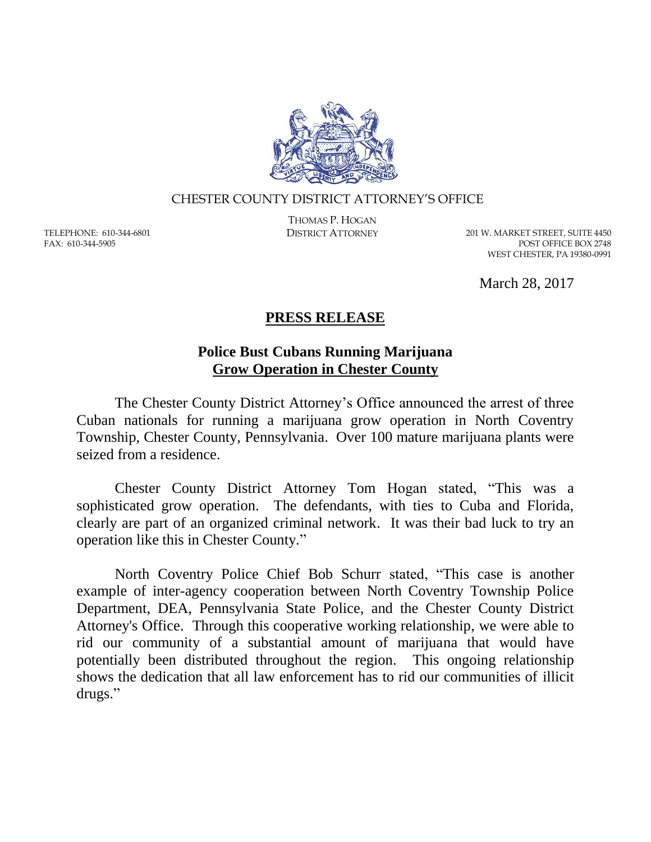

## CHESTER COUNTY DISTRICT ATTORNEY'S OFFICE

TELEPHONE: 610-344-6801 FAX: 610-344-5905

THOMAS P. HOGAN

DISTRICT ATTORNEY 201 W. MARKET STREET, SUITE 4450 POST OFFICE BOX 2748 WEST CHESTER, PA 19380-0991

March 28, 2017

## **PRESS RELEASE**

## **Police Bust Cubans Running Marijuana Grow Operation in Chester County**

The Chester County District Attorney's Office announced the arrest of three Cuban nationals for running a marijuana grow operation in North Coventry Township, Chester County, Pennsylvania. Over 100 mature marijuana plants were seized from a residence.

Chester County District Attorney Tom Hogan stated, "This was a sophisticated grow operation. The defendants, with ties to Cuba and Florida, clearly are part of an organized criminal network. It was their bad luck to try an operation like this in Chester County."

North Coventry Police Chief Bob Schurr stated, "This case is another example of inter-agency cooperation between North Coventry Township Police Department, DEA, Pennsylvania State Police, and the Chester County District Attorney's Office. Through this cooperative working relationship, we were able to rid our community of a substantial amount of marijuana that would have potentially been distributed throughout the region. This ongoing relationship shows the dedication that all law enforcement has to rid our communities of illicit drugs."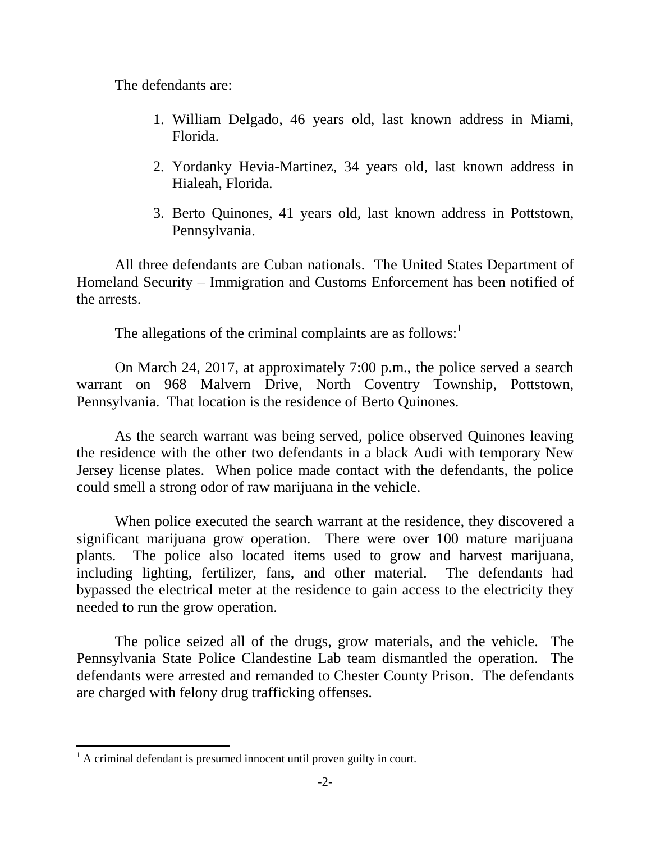The defendants are:

- 1. William Delgado, 46 years old, last known address in Miami, Florida.
- 2. Yordanky Hevia-Martinez, 34 years old, last known address in Hialeah, Florida.
- 3. Berto Quinones, 41 years old, last known address in Pottstown, Pennsylvania.

All three defendants are Cuban nationals. The United States Department of Homeland Security – Immigration and Customs Enforcement has been notified of the arrests.

The allegations of the criminal complaints are as follows:<sup>1</sup>

On March 24, 2017, at approximately 7:00 p.m., the police served a search warrant on 968 Malvern Drive, North Coventry Township, Pottstown, Pennsylvania. That location is the residence of Berto Quinones.

As the search warrant was being served, police observed Quinones leaving the residence with the other two defendants in a black Audi with temporary New Jersey license plates. When police made contact with the defendants, the police could smell a strong odor of raw marijuana in the vehicle.

When police executed the search warrant at the residence, they discovered a significant marijuana grow operation. There were over 100 mature marijuana plants. The police also located items used to grow and harvest marijuana, including lighting, fertilizer, fans, and other material. The defendants had bypassed the electrical meter at the residence to gain access to the electricity they needed to run the grow operation.

The police seized all of the drugs, grow materials, and the vehicle. The Pennsylvania State Police Clandestine Lab team dismantled the operation. The defendants were arrested and remanded to Chester County Prison. The defendants are charged with felony drug trafficking offenses.

 $\overline{a}$ 

 $<sup>1</sup>$  A criminal defendant is presumed innocent until proven guilty in court.</sup>